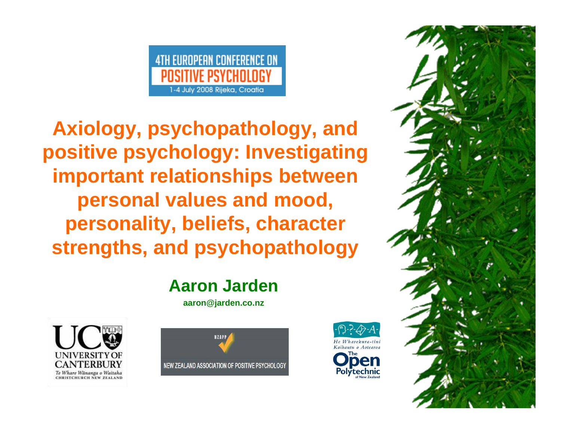#### **4TH EUROPEAN CONFERENCE ON** POSITIVE PSYCHOLOGY 1-4 July 2008 Rijeka, Croatia

**Axiology, psychopathology, and positive psychology: Investigating important relationships between personal values and mood, personality, beliefs, character strengths, and psychopathology** 

#### **Aaron Jarden**

**aaron@jarden.co.nz**







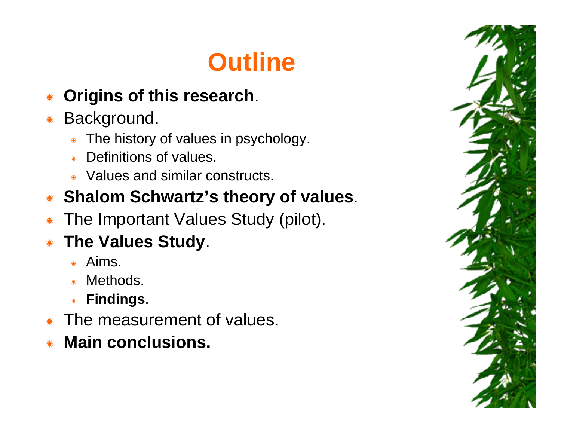## **Outline**

- Ñ**Origins of this research**.
- Ñ Background.
	- ÑThe history of values in psychology.
	- ÑDefinitions of values.
	- \* Values and similar constructs.
- Ñ**Shalom Schwartz's theory of values**.
- ÑThe Important Values Study (pilot).
- Ñ **The Values Study**.
	- ÑAims.
	- ÑMethods.
	- Ñ**Findings**.
- ÑThe measurement of values.
- Ñ**Main conclusions.**

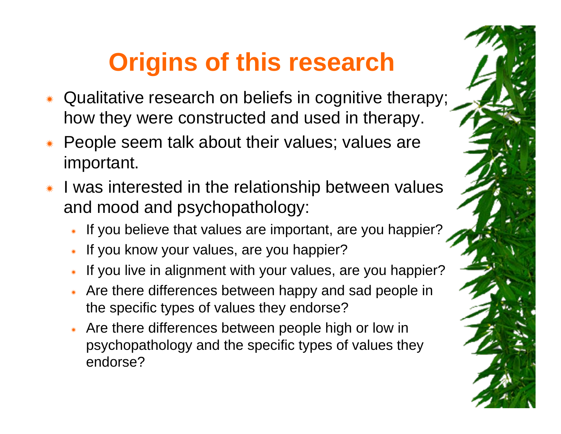## **Origins of this research**

- Ñ Qualitative research on beliefs in cognitive therapy; how they were constructed and used in therapy.
- Ñ People seem talk about their values; values are important.
- Ñ I was interested in the relationship between values and mood and psychopathology:
	- \* If you believe that values are important, are you happier?
	- ÑIf you know your values, are you happier?
	- ÑIf you live in alignment with your values, are you happier?
	- \* Are there differences between happy and sad people in the specific types of values they endorse?
	- \* Are there differences between people high or low in psychopathology and the specific types of values they endorse?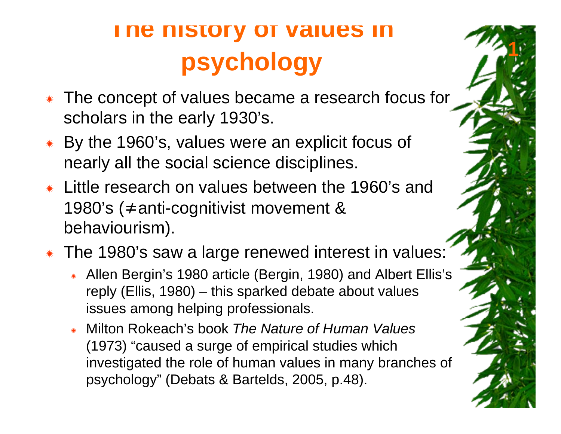- Ñ The concept of values became a research focus for scholars in the early 1930's.
- Ñ By the 1960's, values were an explicit focus of nearly all the social science disciplines.
- Ñ Little research on values between the 1960's and 1980's (≠anti-cognitivist movement & behaviourism).
- \* The 1980's saw a large renewed interest in values:
	- \* Allen Bergin's 1980 article (Bergin, 1980) and Albert Ellis's reply (Ellis, 1980) – this sparked debate about values issues among helping professionals.
	- Ñ Milton Rokeach's book *The Nature of Human Values*  (1973) "caused a surge of empirical studies which investigated the role of human values in many branches of psychology" (Debats & Bartelds, 2005, p.48).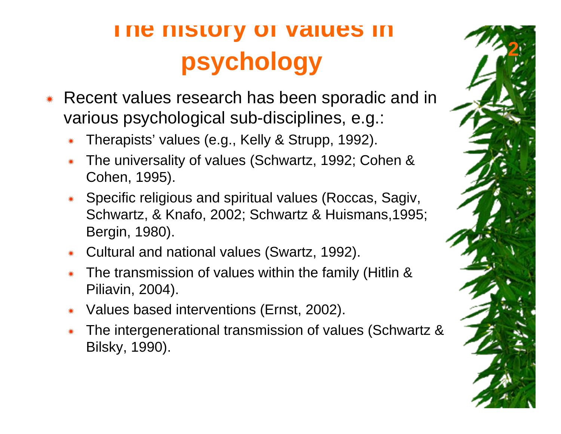- Ñ Recent values research has been sporadic and in various psychological sub-disciplines, e.g.:
	- ÑTherapists' values (e.g., Kelly & Strupp, 1992).
	- Ñ The universality of values (Schwartz, 1992; Cohen & Cohen, 1995).
	- Ñ Specific religious and spiritual values (Roccas, Sagiv, Schwartz, & Knafo, 2002; Schwartz & Huismans,1995; Bergin, 1980).
	- ÑCultural and national values (Swartz, 1992).
	- Ñ The transmission of values within the family (Hitlin & Piliavin, 2004).
	- ÑValues based interventions (Ernst, 2002).
	- Ñ The intergenerational transmission of values (Schwartz & Bilsky, 1990).

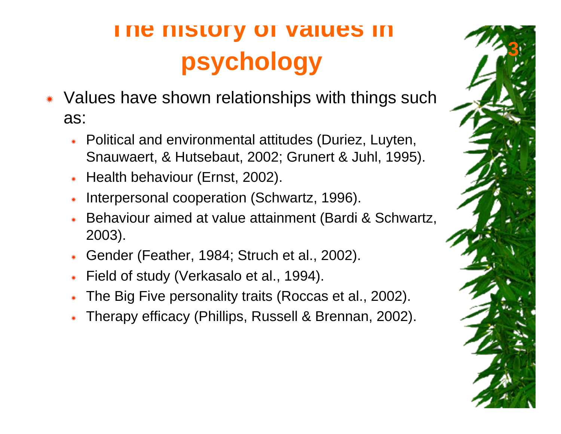- Ñ Values have shown relationships with things such as:
	- Ñ Political and environmental attitudes (Duriez, Luyten, Snauwaert, & Hutsebaut, 2002; Grunert & Juhl, 1995).
	- ÑHealth behaviour (Ernst, 2002).
	- ÑInterpersonal cooperation (Schwartz, 1996).
	- Ñ Behaviour aimed at value attainment (Bardi & Schwartz, 2003).
	- ÑGender (Feather, 1984; Struch et al., 2002).
	- ÑField of study (Verkasalo et al., 1994).
	- ÑThe Big Five personality traits (Roccas et al., 2002).
	- ÑTherapy efficacy (Phillips, Russell & Brennan, 2002).

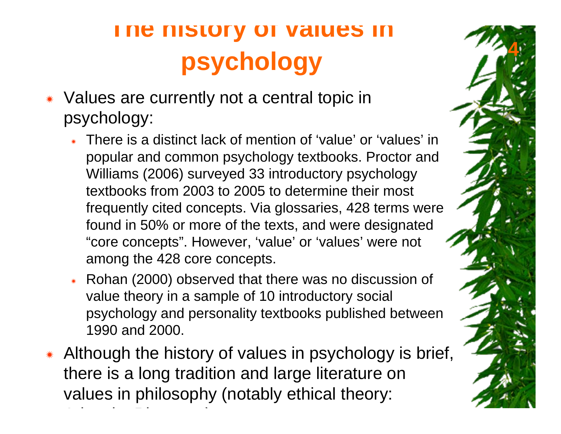- Ñ Values are currently not a central topic in psychology:
	- \* There is a distinct lack of mention of 'value' or 'values' in popular and common psychology textbooks. Proctor and Williams (2006) surveyed 33 introductory psychology textbooks from 2003 to 2005 to determine their most frequently cited concepts. Via glossaries, 428 terms were found in 50% or more of the texts, and were designated "core concepts". However, 'value' or 'values' were not among the 428 core concepts.
	- \* Rohan (2000) observed that there was no discussion of value theory in a sample of 10 introductory social psychology and personality textbooks published between 1990 and 2000.
- Ñ Although the history of values in psychology is brief, there is a long tradition and large literature on values in philosophy (notably ethical theory: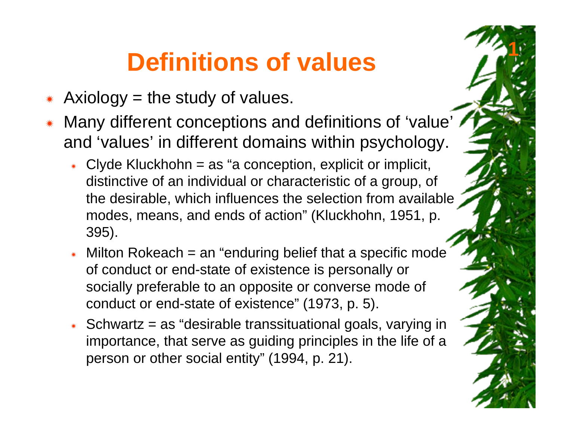#### **Definitions of values**

- ÑAxiology  $=$  the study of values.
- Ñ Many different conceptions and definitions of 'value' and 'values' in different domains within psychology.
	- $\ast$  Clyde Kluckhohn = as "a conception, explicit or implicit, distinctive of an individual or characteristic of a group, of the desirable, which influences the selection from available modes, means, and ends of action" (Kluckhohn, 1951, p. 395).
	- $*$  Milton Rokeach = an "enduring belief that a specific mode" of conduct or end-state of existence is personally or socially preferable to an opposite or converse mode of conduct or end-state of existence" (1973, p. 5).
	- $*$  Schwartz = as "desirable transsituational goals, varying in importance, that serve as guiding principles in the life of a person or other social entity" (1994, p. 21).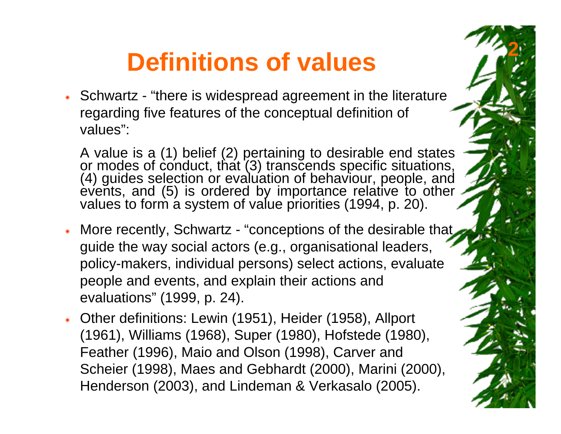#### **Definitions of values**

**2**

\* Schwartz - "there is widespread agreement in the literature regarding five features of the conceptual definition of values":

A value is a (1) belief (2) pertaining to desirable end states<br>or modes of conduct, that (3) transcends specific situations,<br>(4) guides selection or evaluation of behaviour, people, and<br>events, and (5) is ordered by import

- \* More recently, Schwartz "conceptions of the desirable that guide the way social actors (e.g., organisational leaders, policy-makers, individual persons) select actions, evaluate people and events, and explain their actions and evaluations" (1999, p. 24).
- Ñ Other definitions: Lewin (1951), Heider (1958), Allport (1961), Williams (1968), Super (1980), Hofstede (1980), Feather (1996), Maio and Olson (1998), Carver and Scheier (1998), Maes and Gebhardt (2000), Marini (2000), Henderson (2003), and Lindeman & Verkasalo (2005).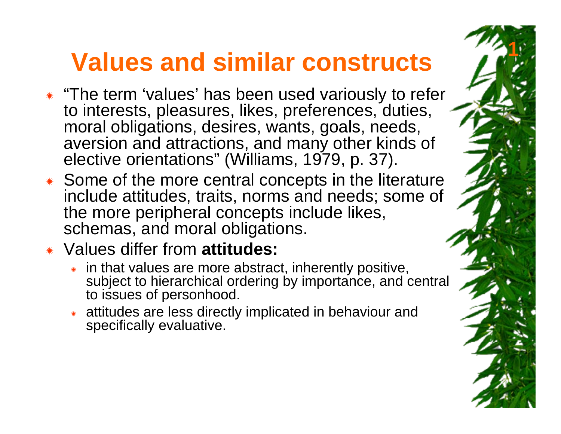#### **Values and similar constructs**

- \* "The term 'values' has been used variously to refer to interests, pleasures, likes, preferences, duties, moral obligations, desires, wants, goals, needs, aversion and attractions, and many other kinds of elective orientations" (Williams, 1979, p. 37).
- \* Some of the more central concepts in the literature include attitudes, traits, norms and needs; some of the more peripheral concepts include likes, schemas, and moral obligations.
- Ñ Values differ from **attitudes:**
	- $\ast$  in that values are more abstract, inherently positive, subject to hierarchical ordering by importance, and central to issues of personhood.
	- $\quad$  attitudes are less directly implicated in behaviour and specifically evaluative.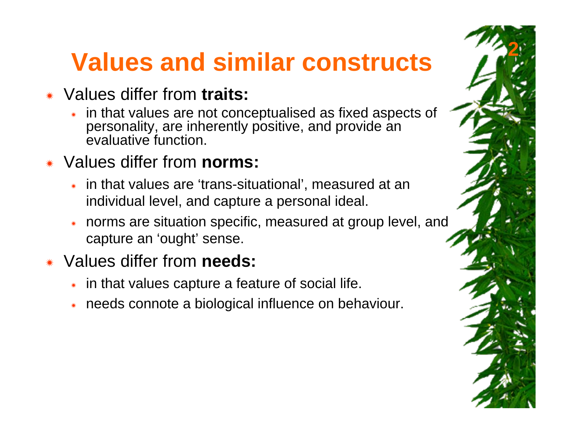### **Values and similar constructs**

**2**

#### Ñ Values differ from **traits:**

Ñ in that values are not conceptualised as fixed aspects of personality, are inherently positive, and provide an evaluative function.

#### Ñ Values differ from **norms:**

- \* in that values are 'trans-situational', measured at an individual level, and capture a personal ideal.
- Ñ norms are situation specific, measured at group level, and capture an 'ought' sense.

#### ÑValues differ from **needs:**

- $*$  in that values capture a feature of social life.
- Ñneeds connote a biological influence on behaviour.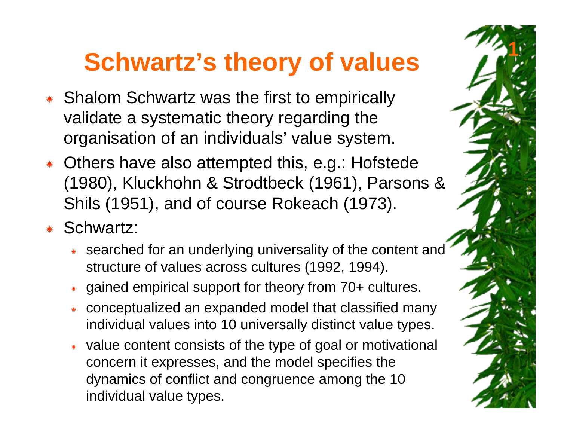#### **Schwartz's theory of values**

- \* Shalom Schwartz was the first to empirically validate a systematic theory regarding the organisation of an individuals' value system.
- \* Others have also attempted this, e.g.: Hofstede (1980), Kluckhohn & Strodtbeck (1961), Parsons & Shils (1951), and of course Rokeach (1973).
- \* Schwartz:
	- \* searched for an underlying universality of the content and structure of values across cultures (1992, 1994).
	- Ñgained empirical support for theory from 70+ cultures.
	- Ñ conceptualized an expanded model that classified many individual values into 10 universally distinct value types.
	- \* value content consists of the type of goal or motivational concern it expresses, and the model specifies the dynamics of conflict and congruence among the 10 individual value types.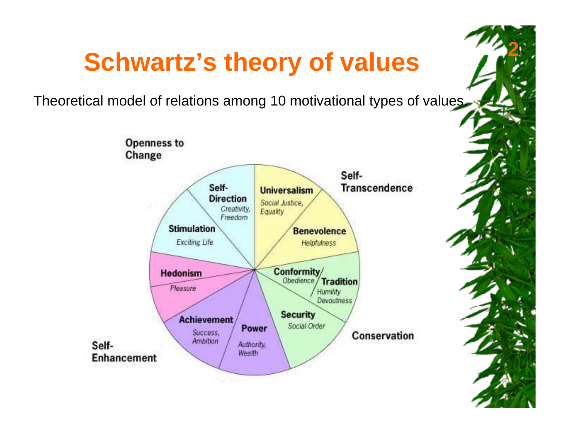#### **Schwartz's theory of values**

**2**

Theoretical model of relations among 10 motivational types of values.

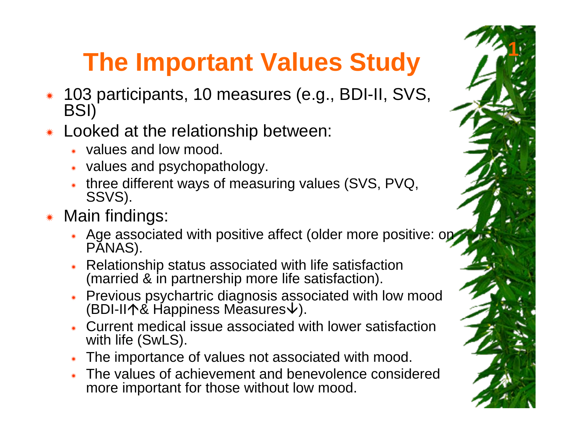## **The Important Values Study**

- Ñ 103 participants, 10 measures (e.g., BDI-II, SVS, BSI)
- Ñ Looked at the relationship between:
	- \* values and low mood.
	- $*$  values and psychopathology.
	- Ñ three different ways of measuring values (SVS, PVQ, SSVS).
- \* Main findings:
	- \* Age associated with positive affect (older more positive: on PANAS).
	- $*$  Relationship status associated with life satisfaction (married & in partnership more life satisfaction).
	- \* Previous psychartric diagnosis associated with low mood (BDI-II个& Happiness Mẽasures↓).
	- \* Current medical issue associated with lower satisfaction with life (SwLS).
	- \* The importance of values not associated with mood.
	- \* The values of achievement and benevolence considered more important for those without low mood.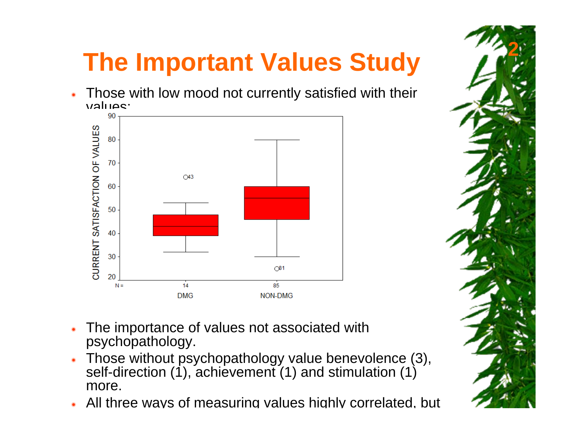## **The Important Values Study**

Ñ Those with low mood not currently satisfied with their  $v$ alues:<br>==



- Ñ The importance of values not associated with psychopathology.
- Ñ Those without psychopathology value benevolence (3), self-direction (1), achievement (1) and stimulation (1) more.
- Ñ\* All three ways of measuring values highly correlated, but

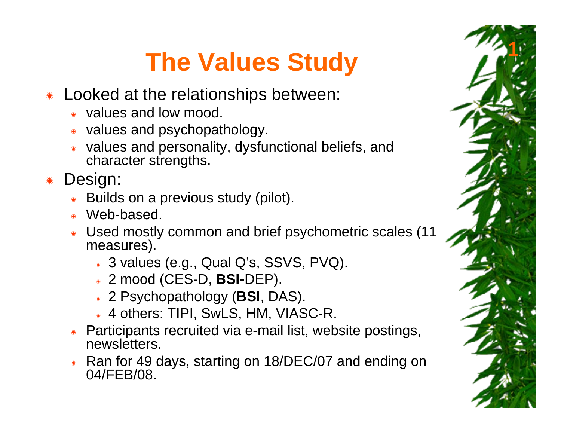- Ñ Looked at the relationships between:
	- \* values and low mood.
	- \* values and psychopathology.
	- $\quad \bullet \quad$  values and personality, dysfunctional beliefs, and character strengths.
- Ñ Design:
	- ÑBuilds on a previous study (pilot).
	- \* Web-based.
	- \* Used mostly common and brief psychometric scales (11 measures).
		- $*$  3 values (e.g., Qual Q's, SSVS, PVQ).
		- Ñ 2 mood (CES-D, **BSI-**DEP).
		- Ñ 2 Psychopathology (**BSI**, DAS).
		- Ñ 4 others: TIPI, SwLS, HM, VIASC-R.
	- \* Participants recruited via e-mail list, website postings, newsletters.
	- \* Ran for 49 days, starting on 18/DEC/07 and ending on 04/FEB/08.

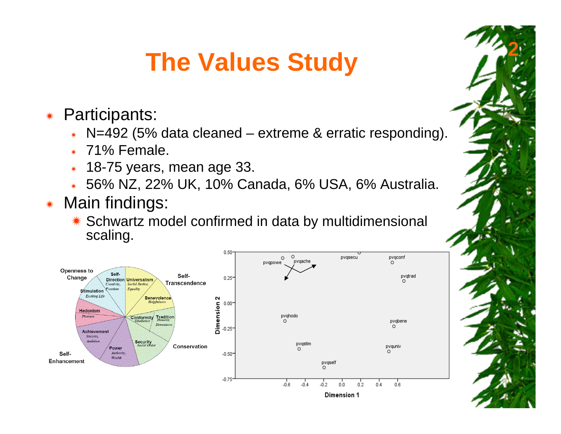**2**

- Ñ Participants:
	- ÑN=492 (5% data cleaned – extreme & erratic responding).
	- $*$  71% Female.
	- $\quad$  18-75 years, mean age 33.
	- Ñ56% NZ, 22% UK, 10% Canada, 6% USA, 6% Australia.

#### ÑMain findings:

\* Schwartz model confirmed in data by multidimensional scaling.

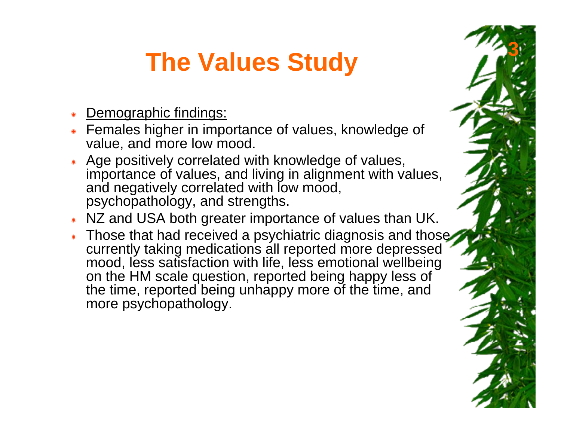- ÑDemographic findings:
- \* Females higher in importance of values, knowledge of value, and more low mood.
- \* Age positively correlated with knowledge of values, importance of values, and living in alignment with values, and negatively correlated with low mood, psychopathology, and strengths.
- \* NZ and USA both greater importance of values than UK.
- \* Those that had received a psychiatric diagnosis and those currently taking medications all reported more depressed mood, less satisfaction with life, less emotional wellbeing on the HM scale question, reported being happy less of the time, reported being unhappy more of the time, and more psychopathology.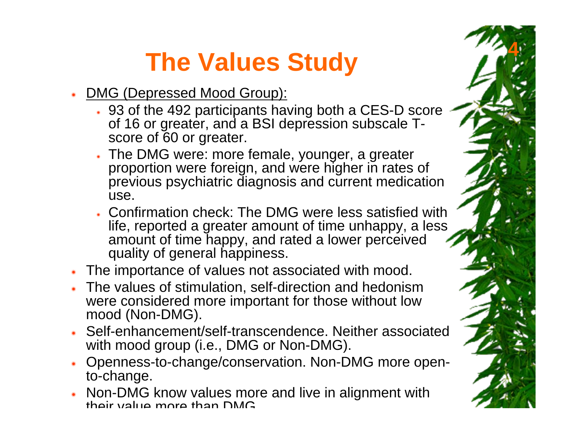- Ñ DMG (Depressed Mood Group):
	- \* 93 of the 492 participants having both a CES-D score of 16 or greater, and a BSI depression subscale Tscore of 60 or greater.

- Ñ The DMG were: more female, younger, a greater proportion were foreign, and were higher in rates of previous psychiatric diagnosis and current medication use.
- **EXALGO CHECK:** The DMG were less satisfied with **EXALGO**. life, reported a greater amount of time unhappy, a less amount of time happy, and rated a lower perceived quality of general happiness.
- \* The importance of values not associated with mood.
- **K** The values of stimulation, self-direction and hedonism were considered more important for those without low mood (Non-DMG).
- \* Self-enhancement/self-transcendence. Neither associated with mood group (i.e., DMG or Non-DMG).
- Ñ Openness-to-change/conservation. Non-DMG more opento-change.
- Ñ Non-DMG know values more and live in alignment with theirvalue more than DMG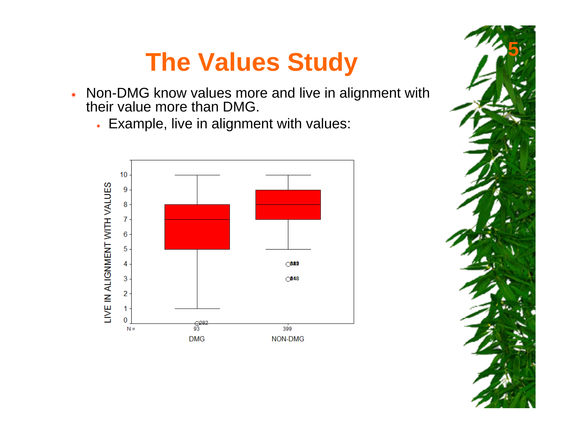- Ñ Non-DMG know values more and live in alignment with their value more than DMG.
	- $*$  Example, live in alignment with values:



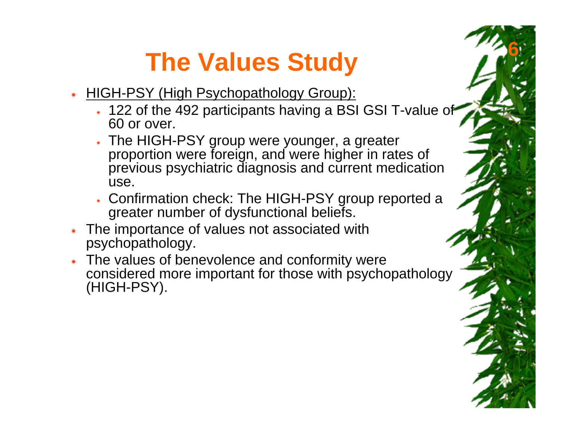- Ñ HIGH-PSY (High Psychopathology Group):
	- \* 122 of the 492 participants having a BSI GSI T-value of 60 or over.

- \* The HIGH-PSY group were younger, a greater proportion were foreign, and were higher in rates of previous psychiatric diagnosis and current medication use.
- \* Confirmation check: The HIGH-PSY group reported a greater number of dysfunctional beliefs.
- \* The importance of values not associated with psychopathology.
- $*$  The values of benevolence and conformity were considered more important for those with psychopathology (HIGH-PSY).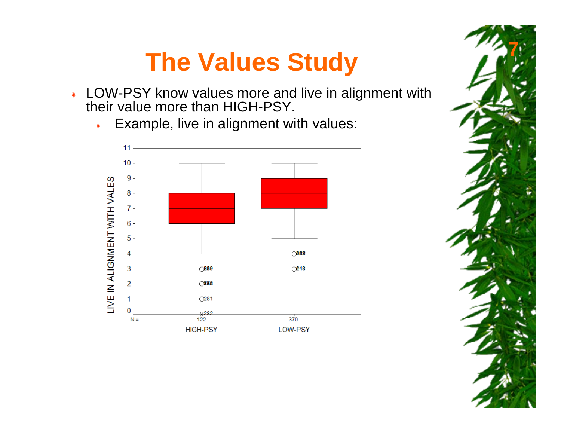- \* LOW-PSY know values more and live in alignment with their value more than HIGH-PSY.
	- ÑExample, live in alignment with values:



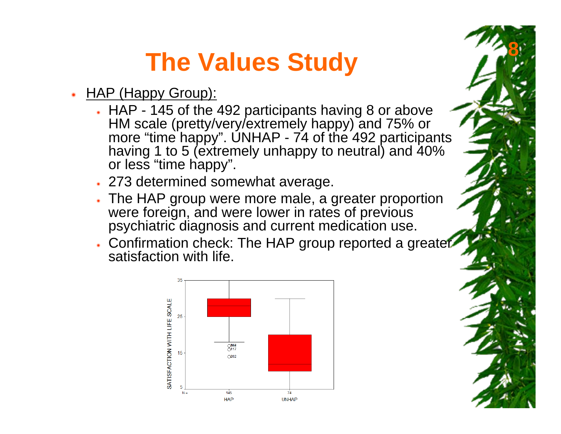- ÑHAP (Happy Group):
	- \* HAP 145 of the 492 participants having 8 or above HM scale (pretty/very/extremely happy) and 75% or more "time happy". UNHAP - 74 of the 492 participants having 1 to 5 (extremely unhappy to neutral) and 40% or less "time happy".

- \* 273 determined somewhat average.
- \* The HAP group were more male, a greater proportion were foreign, and were lower in rates of previous psychiatric diagnosis and current medication use.
- \* Confirmation check: The HAP group reported a greater satisfaction with life.

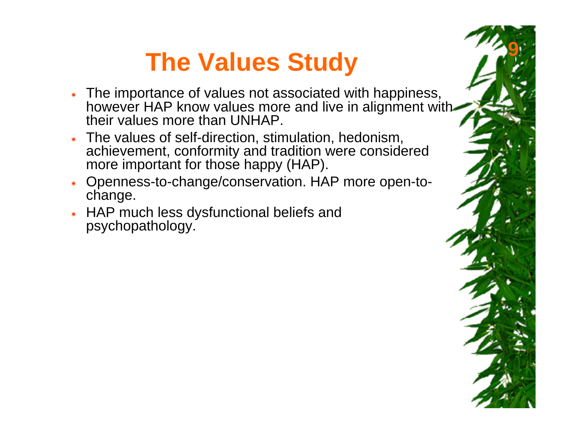\* The importance of values not associated with happiness, however HAP know values more and live in alignment with their values more than UNHAP.

- \* The values of self-direction, stimulation, hedonism, achievement, conformity and tradition were considered more important for those happy (HAP).
- \* Openness-to-change/conservation. HAP more open-tochange.
- \* HAP much less dysfunctional beliefs and psychopathology.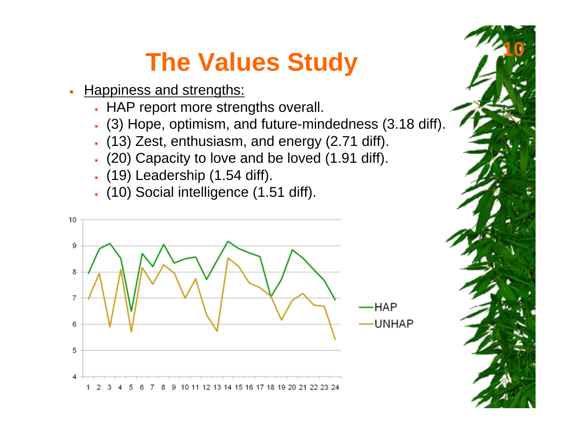- Ñ**Happiness and strengths:** 
	- $*$  HAP report more strengths overall.
	- \* (3) Hope, optimism, and future-mindedness (3.18 diff).

- \* (13) Zest, enthusiasm, and energy (2.71 diff).
- \* (20) Capacity to love and be loved (1.91 diff).
- $*$  (19) Leadership (1.54 diff).
- Ñ (10) Social intelligence (1.51 diff).

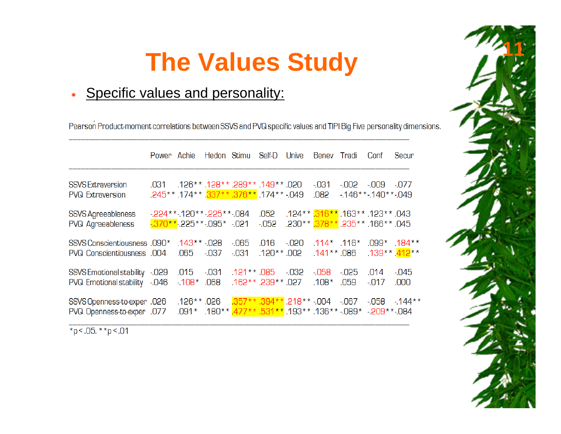**11**

#### ÑSpecific values and personality:

Pearson Product-moment correlations between SSVS and PVQ specific values and TIPI Big Five personality dimensions.

|                                                                 | Power Achie              |                                  | Hedon Stimu |                                                                                                        | Self-D               | Unive                                                                                              | Benev Tradi               |                              | Conf                                        | Secur          |
|-----------------------------------------------------------------|--------------------------|----------------------------------|-------------|--------------------------------------------------------------------------------------------------------|----------------------|----------------------------------------------------------------------------------------------------|---------------------------|------------------------------|---------------------------------------------|----------------|
| <b>SSVS Extraversion</b><br><b>PVQ Extraversion</b>             | .031                     |                                  |             | .126** 128. ** 289. ** 128. ** 128.<br>.245** .174** .376** .376** .174** .049                         |                      |                                                                                                    | $-031$<br>.082            | $-002$<br>$-146**-140**-049$ | -.009                                       | $-077$         |
| SSVS Agreeableness<br>PVQ Agreeableness                         | $-224**-120**-225**-084$ | $-370**$ -225**-095* -021        |             |                                                                                                        | .052<br>$-052$       | .124** .163** .163** .123** .043<br>.230** 166** .235 <mark>** .</mark> 235. <mark>** 378</mark> . |                           |                              |                                             |                |
| SSVS Conscientiousness .090*<br>PVQ Conscientiousness .004      |                          | .143** -.028<br>.065             | -.037       | $-065$<br>$-031$                                                                                       | .016<br>$.120**.002$ | -.020                                                                                              | .114* .116*<br>.141**.086 |                              | .099* .184**<br>.139**. <mark>412</mark> ** |                |
| O29.- SSVS Emotional stability<br>PVQ Emotional stability -.046 |                          | .015<br>$-108$ <sup>*</sup> .068 | $-031$      | .121** 085<br>.162**.239**.027                                                                         |                      | -.032                                                                                              | -058<br>$.108*$           | $-025$<br>.059               | .014<br>$-017$                              | $-045$<br>.000 |
| .026. SSVS Openness-to-exper<br>PVQ Openness-to-exper .077      |                          | $.126**026$                      |             | .357**.394**.218**-.004 -.067<br>.080 .-** 209 .- * 280 .- ** 136  ** 193  ** 157  * 180  * 190  * 190 |                      |                                                                                                    |                           |                              | $-0.058 - 144$ *                            |                |

\*p < .05. \*\*p < .01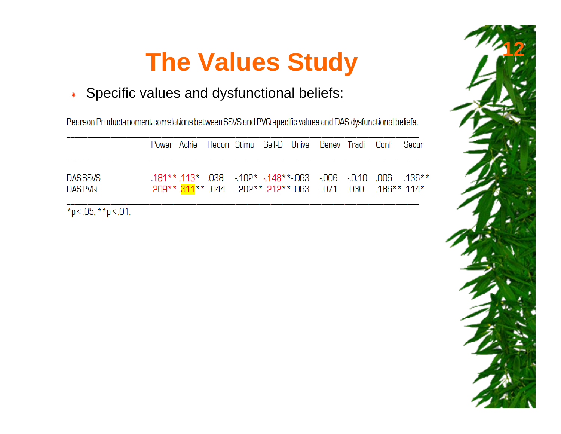#### ÑSpecific values and dysfunctional beliefs:

Pearson Product-moment correlations between SSVS and PVQ specific values and DAS dysfunctional beliefs.

|                               |  |  |  | Power Achie Hedon Stimu Self-D Unive Benev Tradi Conf Secur         |  |                                                            |
|-------------------------------|--|--|--|---------------------------------------------------------------------|--|------------------------------------------------------------|
| DAS SSVS<br>DAS PVQ           |  |  |  | *114. **186. 030. 071. 063. **212. **209. 071. 058. ** 209. ** 209. |  | .181** .113* .038 .102* .148** .063 .006 .0.10 .006 .136** |
| $\mathbf{A}$ and $\mathbf{A}$ |  |  |  |                                                                     |  |                                                            |

\*p < .05. \*\*p < .01.

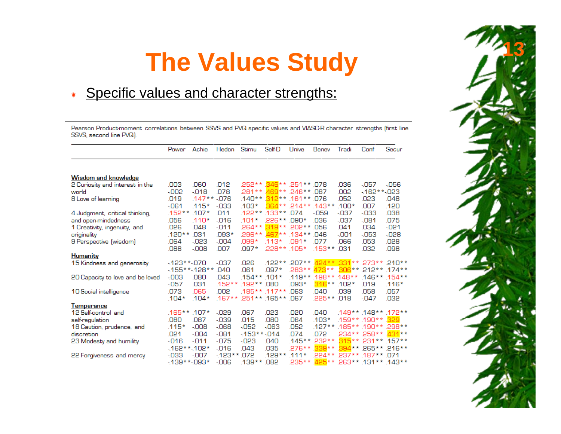#### ÑSpecific values and character strengths:

Pearson Product-moment correlations between SSVS and PVQ specific values and VIASC-R character strengths (first line SSVS, second line PVQ).

|                                  | Power         | Achie          | Hedon    | Stimu        | Self-D                       | Unive         | Benev          | Tradi   | Conf                      | Secur   |
|----------------------------------|---------------|----------------|----------|--------------|------------------------------|---------------|----------------|---------|---------------------------|---------|
|                                  |               |                |          |              |                              |               |                |         |                           |         |
| <b>Wisdom and knowledge</b>      |               |                |          |              |                              |               |                |         |                           |         |
| 2 Curiosity and interest in the  | .003          | .060           | .012     |              | .252 ** .346 ** .251 ** .078 |               |                | .036    | -057                      | -056    |
| world                            | -.002         | $-018$         | .078     |              | 281 ** 469 ** 246 **         |               | -087           | .002    | $-162**-023$              |         |
| 8 Love of learning               | .019          | $.147**$       | $-076$   |              | $.140**$ 312** 161**         |               | .076           | .052    | .023                      | .048    |
|                                  | $-061$        | $.115*$        | $-033$   | $.103*$      | $364**$                      | 214**         | $143**$        | $.100*$ | .007                      | .120    |
| 4 Judgment, critical thinking,   | .152**.107*   |                | .011     |              | .122**.133**                 | 074           | $-059$         | $-037$  | $-033$                    | .038    |
| and open-mindedness              | .056          | $.110*$        | $-016$   | $.101*$      | 226**                        | .090*         | .036           | $-037$  | $-081$                    | .075    |
| 1 Creativity, ingenuity, and     | .026          | 048            | $-011$   | $.264**$     | $319**$ 202**                |               | .056           | 041     | .034                      | $-021$  |
| originality                      | .120**        | .031           | $.093*$  | .296**       |                              | $467**.134**$ | .046           | $-001$  | -053                      | $-028$  |
| 9 Perspective (wisdom)           | .064          | $-023$         | $-004$   | .099*        | $.113*$                      | .091*         | .077           | .066    | .053                      | .028    |
|                                  | .088          | $-008$         | .007     | $.097*$      | .228**.105*                  |               | $.153**$       | .031    | .032                      | .098    |
| <b>Humanity</b>                  |               |                |          |              |                              |               |                |         |                           |         |
| 15 Kindness and generosity       | $-123**070$   |                | $-037$   | .026         | $122**$                      | $207**$       |                |         | 424** 331** 273** 210**   |         |
|                                  |               | $-155**-128**$ | .040     | 061          | $0.97*$                      | <b>283**</b>  | $473**$        |         | 306** 212** 174**         |         |
| 20 Capacity to love and be loved | $-003$        | .080           | .043     | $154**$      | $101*$                       | $.119**$      | $.198**.148**$ |         | $146$ **                  | $154**$ |
|                                  | $-057$        | .031           | $.152**$ | $.192**$     | .080                         | .093*         | $316**$        | $102*$  | .019                      | $.116*$ |
| 10 Social intelligence           | .073          | .065           | .002     |              | $.185***.117**$              | 063           | .040           | .039    | .058                      | .057    |
|                                  | $.104*$       | $.104*$        | $167**$  |              | .251 ** .165 **              | .067          | .225**         | .018    | $-047$                    | .032    |
| Temperance                       |               |                |          |              |                              |               |                |         |                           |         |
| 12 Self-control and              | .165**.107*   |                | -029     | .067         | .023                         | .020          | .040           |         | .149**.148**.172**        |         |
| self-regulation                  | .080          | .087           | $-039$   | .015         | .080                         | 064           | $.103*$        |         | .159**.190**              | 329     |
| 18 Caution, prudence, and        | $.115*$       | $-008$         | $-068$   | $-052$       | $-063$                       | .052          | $.127**$       |         | $185**.190**$             | 298**   |
| discretion                       | .021          | $-004$         | $-081$   | $-153**-014$ |                              | .074          | .072           |         | 234** 258**               | $431**$ |
| 23 Modesty and humility          | $-016$        | $-011$         | $-075$   | $-023$       | .040                         | $145**$       | 232**          |         | 315** 231** 157**         |         |
|                                  | $-162**-102*$ |                | $-016$   | .043         | .035                         | $.276**$      | 339**          |         | 394 ** 265 ** 216 **      |         |
| 22 Forgiveness and mercy         | -033          | $-007$         | $-123**$ | .072         | $.129**$                     | $.111*$       | $224**$        |         | .237 ** .187 **           | D71     |
|                                  | $-139**093*$  |                | -006     | .139**       | .082                         | 235**         |                |         | 425** 263** .131** .143** |         |

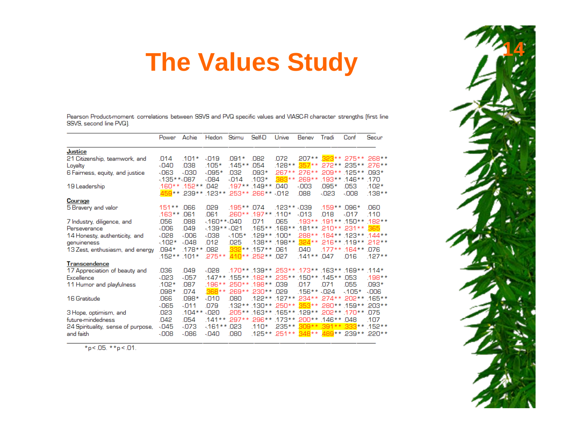Pearson Product-moment correlations between SSVS and PVQ specific values and VIASC-R character strengths (first line SSVS. second line PVQ).

|                                              | Power        | Achie              | Hedon                                        | Stimu      | Self-D                                         | Unive        | Benev                    | Tradi         | Conf                                                                      | Secur    |
|----------------------------------------------|--------------|--------------------|----------------------------------------------|------------|------------------------------------------------|--------------|--------------------------|---------------|---------------------------------------------------------------------------|----------|
| Justice                                      |              |                    |                                              |            |                                                |              |                          |               |                                                                           |          |
| 21 Citizenship, teamwork, and                | .014         | $.101*$            | $-019$                                       | .091*      | 082                                            | .072         |                          |               | .207** 323** 275** 268**                                                  |          |
| Loyalty                                      | $-040$       | .038               | $.105*$                                      | $.145**$   | .054                                           |              |                          |               | .128** 357** 272** 235** 276**                                            |          |
| 6 Fairness, equity, and justice              | -063         | -030               | $-0.95*$                                     | 032        | $093*$                                         |              |                          |               | 267** 276** 209** 125** 093*                                              |          |
|                                              | $-135**087$  |                    | $-084$                                       | $-014$     | $.103*$                                        |              | .383** 269** 193** 146** |               |                                                                           | .170     |
| 19 Leadership                                |              | .160** .152** .042 |                                              |            | .197**.149**.040                               |              | $-003$                   | .095*         | .053                                                                      | .102*    |
|                                              |              |                    | 012. ** 288. ** 253. ** 253. ** 259. ** 259. |            |                                                |              | .088                     | $-023$        | $-008$                                                                    | .138**   |
| Courage                                      |              |                    |                                              |            |                                                |              |                          |               |                                                                           |          |
| 5 Bravery and valor                          | $151**$      | .066               | .029                                         | .195** 074 |                                                | $.123**.039$ |                          | $.159**.096*$ |                                                                           | .060     |
|                                              | $.163**$     | .061               | .061                                         |            | .260** .197** .110*                            |              | $-013$                   | 018           | -017                                                                      | .110     |
| 7 Industry, diligence, and                   | .056<br>-006 | .088<br>.049       | $-160**040$<br>$-139**-021$                  |            | .071                                           | .065         |                          |               | .193**.191**.150**.182**<br>.165**.168**.181**.210**.231**                | 365      |
| Perseverance                                 | $-028$       | $-006$             | $-038$                                       | $-105*$    | $.129**.100*$                                  |              |                          |               | .288** .184** .123** .144**                                               |          |
| 14 Honesty, authenticity, and<br>genuineness | $-102*$      | $-048$             | .012                                         | .025       |                                                |              |                          |               | **212. **198. ** 216. ** 216. ** 198. ** 188.                             |          |
| 13 Zest, enthusiasm, and energy              | $.094*$      | $.178**$           | .082                                         |            | .332** .157** .061                             |              | .040                     |               | $.177**$ .164** .076                                                      |          |
|                                              | $.152**$     | $.101*$            |                                              |            | .275** .410** .252** .027                      |              | $.141**.047$             |               | .016                                                                      | $.127**$ |
| Transcendence                                |              |                    |                                              |            |                                                |              |                          |               |                                                                           |          |
| 17 Appreciation of beauty and                | .036         | .049               | -028                                         |            |                                                |              |                          |               | 170** 139** 253** 173** 163** 169** 114*                                  |          |
| Excellence                                   | $-023$       | $-057$             |                                              |            | .147** .155** .182** .235** .150** .145** .053 |              |                          |               |                                                                           | $.198**$ |
| 11 Humor and playfulness                     | .102*        | 087                |                                              |            | .196** 250** 198** 039                         |              | .017                     | .071          | .055                                                                      | 093*     |
|                                              | $.098*$      | 074                |                                              |            | 368 ** 269 ** 230 ** 029                       |              | $.156**.024$             |               | $-105*$                                                                   | ann-     |
| 16 Gratitude                                 | .066         | .098*              | -010                                         | .080       |                                                |              |                          |               | .122** .127** .234** .274** .202**                                        | 165**    |
|                                              | $-065$       | $-011$             | D79                                          |            |                                                |              |                          |               | .132** .130** .250* * . <mark>353</mark> * * .280* * .132* * .130*        |          |
| 3 Hope, optimism, and                        | .023         | $.104**$           | -020                                         |            | .205** .163** .165** .129** .202** .170**      |              |                          |               |                                                                           | 075      |
| future-mindedness                            | .042         | .054               |                                              |            | .141** 297** 296** 173** 200** 146** 048       |              |                          |               |                                                                           | .107     |
| 24 Spirituality, sense of purpose,           | $-045$       | -073               | $-161**.023$                                 |            | $.110*$                                        |              |                          |               | 235** 309** 391** 333** 152**                                             |          |
| and faith                                    | $-008$       | $-086$             | $-040$                                       | .080       |                                                |              |                          |               | ** 220. ** 239. ** <mark>489.</mark> ** <mark>489.</mark> ** 251. ** 251. |          |

\*p < .05. \*\*p < .01.

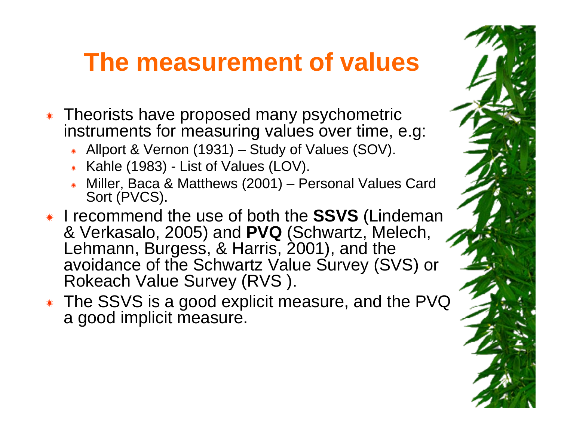#### **The measurement of values**

- \* Theorists have proposed many psychometric instruments for measuring values over time, e.g.
	- \* Allport & Vernon (1931) Study of Values (SOV).
	- \* Kahle (1983) List of Values (LOV).
	- \* Miller, Baca & Matthews (2001) Personal Values Card Sort (PVCS).
- \* I recommend the use of both the **SSVS** (Lindeman & Verkasalo, 2005) and **PVQ** (Schwartz, Melech, Lehmann, Burgess, & Harris, 2001), and the avoidance of the Schwartz Value Survey (SVS) or Rokeach Value Survey (RVS ).
- \* The SSVS is a good explicit measure, and the PVQ a good implicit measure.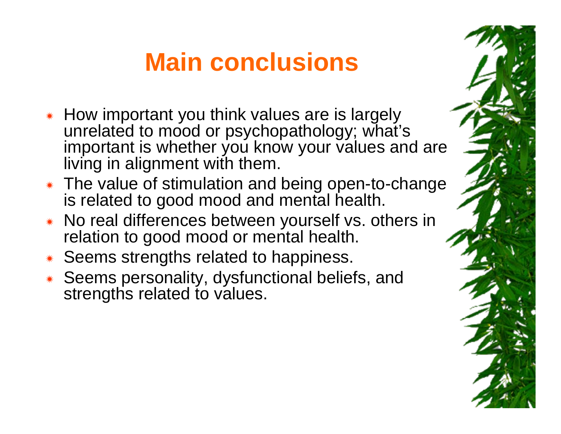## **Main conclusions**

- \* How important you think values are is largely unrelated to mood or psychopathology; what's important is whether you know your values and are living in alignment with them.
- \* The value of stimulation and being open-to-change is related to good mood and mental health.
- \* No real differences between yourself vs. others in relation to good mood or mental health.
- ÑSeems strengths related to happiness.
- \* Seems personality, dysfunctional beliefs, and strengths related to values.